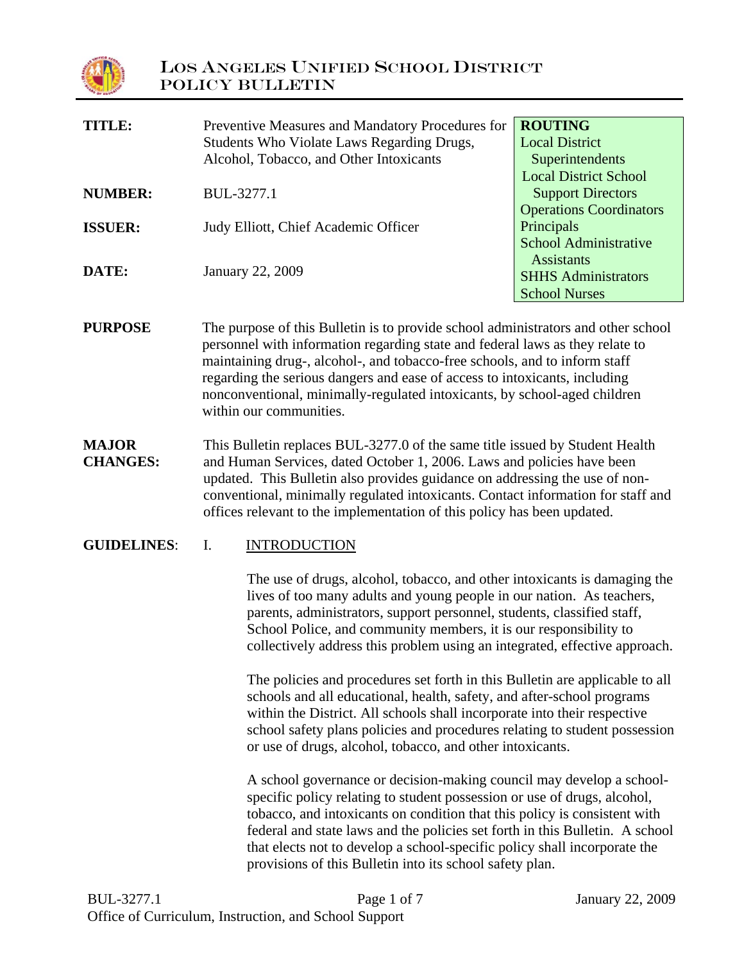

| TITLE:         | Preventive Measures and Mandatory Procedures for | <b>ROUTING</b>                 |
|----------------|--------------------------------------------------|--------------------------------|
|                | Students Who Violate Laws Regarding Drugs,       | <b>Local District</b>          |
|                | Alcohol, Tobacco, and Other Intoxicants          | Superintendents                |
|                |                                                  | <b>Local District School</b>   |
| <b>NUMBER:</b> | BUL-3277.1                                       | <b>Support Directors</b>       |
|                |                                                  | <b>Operations Coordinators</b> |
| <b>ISSUER:</b> | Judy Elliott, Chief Academic Officer             | Principals                     |
|                |                                                  | <b>School Administrative</b>   |
|                |                                                  | <b>Assistants</b>              |
| DATE:          | January 22, 2009                                 | <b>SHHS Administrators</b>     |
|                |                                                  | <b>School Nurses</b>           |
|                |                                                  |                                |

- **PURPOSE** The purpose of this Bulletin is to provide school administrators and other school personnel with information regarding state and federal laws as they relate to maintaining drug-, alcohol-, and tobacco-free schools, and to inform staff regarding the serious dangers and ease of access to intoxicants, including nonconventional, minimally-regulated intoxicants, by school-aged children within our communities.
- **MAJOR CHANGES:** This Bulletin replaces BUL-3277.0 of the same title issued by Student Health and Human Services, dated October 1, 2006. Laws and policies have been updated. This Bulletin also provides guidance on addressing the use of nonconventional, minimally regulated intoxicants. Contact information for staff and offices relevant to the implementation of this policy has been updated.

#### **GUIDELINES**: I. INTRODUCTION

The use of drugs, alcohol, tobacco, and other intoxicants is damaging the lives of too many adults and young people in our nation. As teachers, parents, administrators, support personnel, students, classified staff, School Police, and community members, it is our responsibility to collectively address this problem using an integrated, effective approach.

The policies and procedures set forth in this Bulletin are applicable to all schools and all educational, health, safety, and after-school programs within the District. All schools shall incorporate into their respective school safety plans policies and procedures relating to student possession or use of drugs, alcohol, tobacco, and other intoxicants.

A school governance or decision-making council may develop a schoolspecific policy relating to student possession or use of drugs, alcohol, tobacco, and intoxicants on condition that this policy is consistent with federal and state laws and the policies set forth in this Bulletin. A school that elects not to develop a school-specific policy shall incorporate the provisions of this Bulletin into its school safety plan.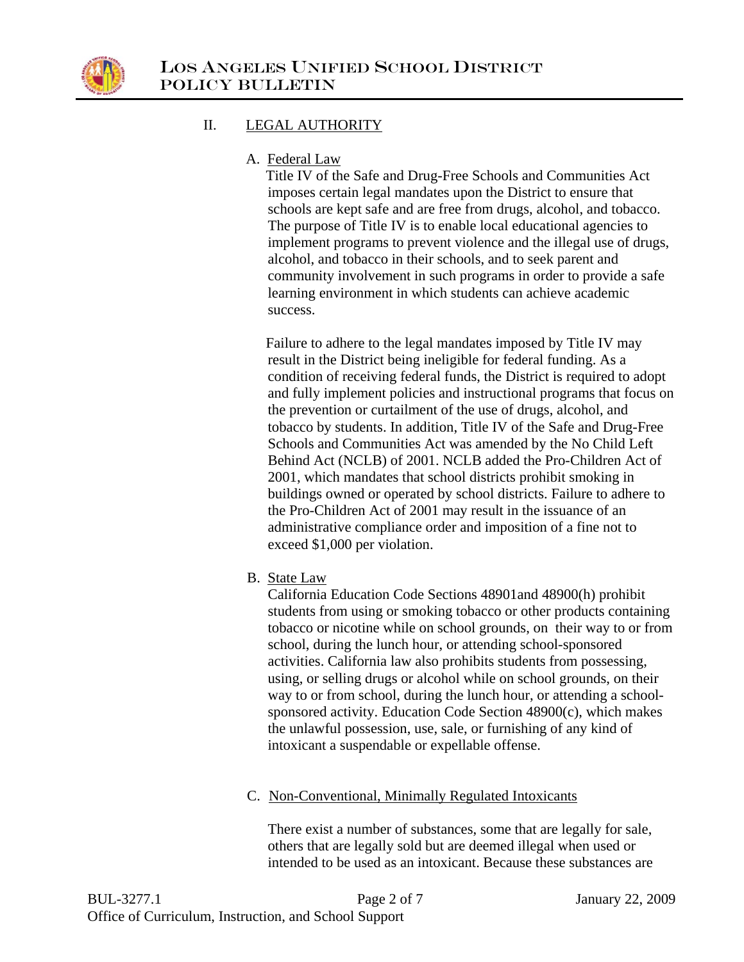

## II. LEGAL AUTHORITY

A. Federal Law

 Title IV of the Safe and Drug-Free Schools and Communities Act imposes certain legal mandates upon the District to ensure that schools are kept safe and are free from drugs, alcohol, and tobacco. The purpose of Title IV is to enable local educational agencies to implement programs to prevent violence and the illegal use of drugs, alcohol, and tobacco in their schools, and to seek parent and community involvement in such programs in order to provide a safe learning environment in which students can achieve academic success.

 Failure to adhere to the legal mandates imposed by Title IV may result in the District being ineligible for federal funding. As a condition of receiving federal funds, the District is required to adopt and fully implement policies and instructional programs that focus on the prevention or curtailment of the use of drugs, alcohol, and tobacco by students. In addition, Title IV of the Safe and Drug-Free Schools and Communities Act was amended by the No Child Left Behind Act (NCLB) of 2001. NCLB added the Pro-Children Act of 2001, which mandates that school districts prohibit smoking in buildings owned or operated by school districts. Failure to adhere to the Pro-Children Act of 2001 may result in the issuance of an administrative compliance order and imposition of a fine not to exceed \$1,000 per violation.

B. State Law

California Education Code Sections 48901and 48900(h) prohibit students from using or smoking tobacco or other products containing tobacco or nicotine while on school grounds, on their way to or from school, during the lunch hour, or attending school-sponsored activities. California law also prohibits students from possessing, using, or selling drugs or alcohol while on school grounds, on their way to or from school, during the lunch hour, or attending a schoolsponsored activity. Education Code Section 48900(c), which makes the unlawful possession, use, sale, or furnishing of any kind of intoxicant a suspendable or expellable offense.

### C. Non-Conventional, Minimally Regulated Intoxicants

 There exist a number of substances, some that are legally for sale, others that are legally sold but are deemed illegal when used or intended to be used as an intoxicant. Because these substances are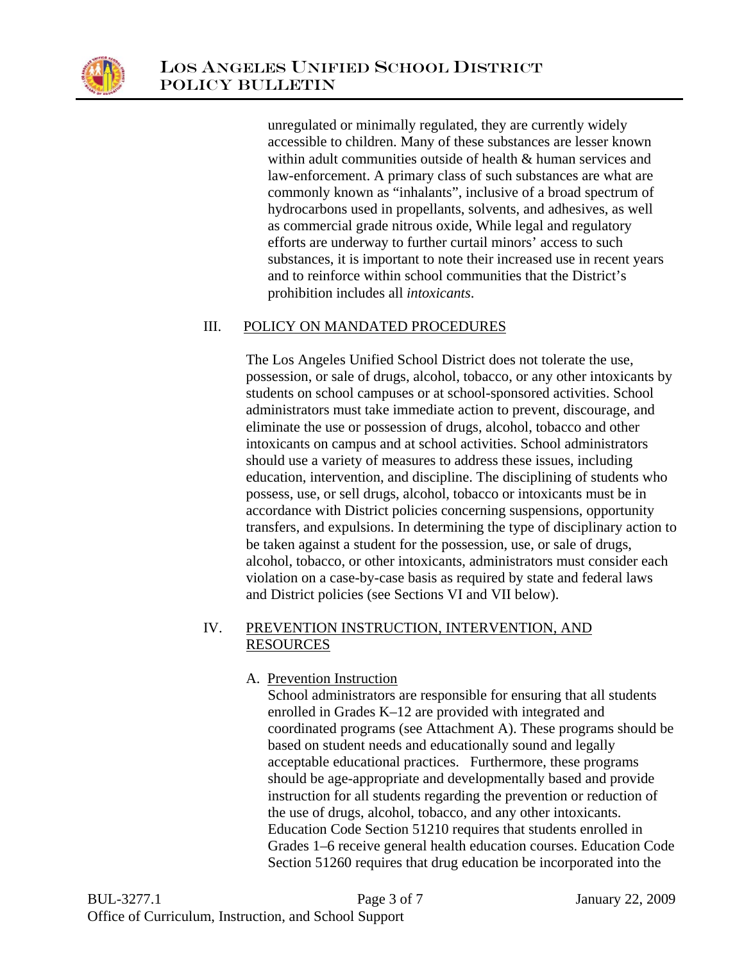

 unregulated or minimally regulated, they are currently widely accessible to children. Many of these substances are lesser known within adult communities outside of health & human services and law-enforcement. A primary class of such substances are what are commonly known as "inhalants", inclusive of a broad spectrum of hydrocarbons used in propellants, solvents, and adhesives, as well as commercial grade nitrous oxide, While legal and regulatory efforts are underway to further curtail minors' access to such substances, it is important to note their increased use in recent years and to reinforce within school communities that the District's prohibition includes all *intoxicants*.

## III. POLICY ON MANDATED PROCEDURES

The Los Angeles Unified School District does not tolerate the use, possession, or sale of drugs, alcohol, tobacco, or any other intoxicants by students on school campuses or at school-sponsored activities. School administrators must take immediate action to prevent, discourage, and eliminate the use or possession of drugs, alcohol, tobacco and other intoxicants on campus and at school activities. School administrators should use a variety of measures to address these issues, including education, intervention, and discipline. The disciplining of students who possess, use, or sell drugs, alcohol, tobacco or intoxicants must be in accordance with District policies concerning suspensions, opportunity transfers, and expulsions. In determining the type of disciplinary action to be taken against a student for the possession, use, or sale of drugs, alcohol, tobacco, or other intoxicants, administrators must consider each violation on a case-by-case basis as required by state and federal laws and District policies (see Sections VI and VII below).

### IV. PREVENTION INSTRUCTION, INTERVENTION, AND RESOURCES

# A. Prevention Instruction

School administrators are responsible for ensuring that all students enrolled in Grades K–12 are provided with integrated and coordinated programs (see Attachment A). These programs should be based on student needs and educationally sound and legally acceptable educational practices. Furthermore, these programs should be age-appropriate and developmentally based and provide instruction for all students regarding the prevention or reduction of the use of drugs, alcohol, tobacco, and any other intoxicants. Education Code Section 51210 requires that students enrolled in Grades 1–6 receive general health education courses. Education Code Section 51260 requires that drug education be incorporated into the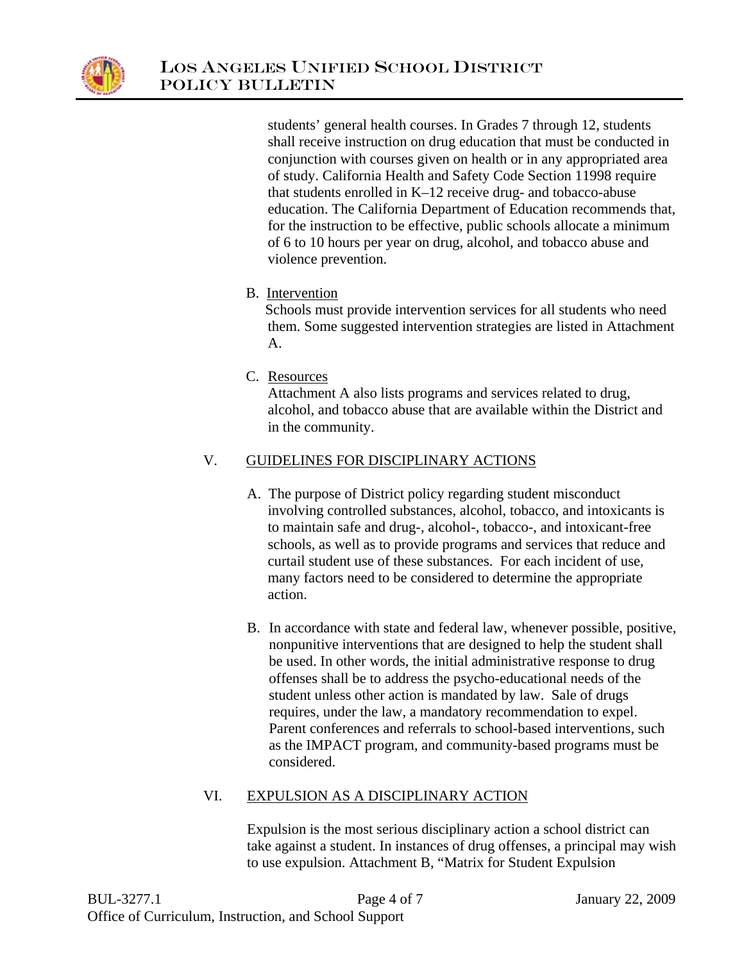

students' general health courses. In Grades 7 through 12, students shall receive instruction on drug education that must be conducted in conjunction with courses given on health or in any appropriated area of study. California Health and Safety Code Section 11998 require that students enrolled in K–12 receive drug- and tobacco-abuse education. The California Department of Education recommends that, for the instruction to be effective, public schools allocate a minimum of 6 to 10 hours per year on drug, alcohol, and tobacco abuse and violence prevention.

B. Intervention

 Schools must provide intervention services for all students who need them. Some suggested intervention strategies are listed in Attachment A.

C. Resources

Attachment A also lists programs and services related to drug, alcohol, and tobacco abuse that are available within the District and in the community.

# V. GUIDELINES FOR DISCIPLINARY ACTIONS

- A. The purpose of District policy regarding student misconduct involving controlled substances, alcohol, tobacco, and intoxicants is to maintain safe and drug-, alcohol-, tobacco-, and intoxicant-free schools, as well as to provide programs and services that reduce and curtail student use of these substances. For each incident of use, many factors need to be considered to determine the appropriate action.
- B. In accordance with state and federal law, whenever possible, positive, nonpunitive interventions that are designed to help the student shall be used. In other words, the initial administrative response to drug offenses shall be to address the psycho-educational needs of the student unless other action is mandated by law. Sale of drugs requires, under the law, a mandatory recommendation to expel. Parent conferences and referrals to school-based interventions, such as the IMPACT program, and community-based programs must be considered.

# VI. EXPULSION AS A DISCIPLINARY ACTION

Expulsion is the most serious disciplinary action a school district can take against a student. In instances of drug offenses, a principal may wish to use expulsion. Attachment B, "Matrix for Student Expulsion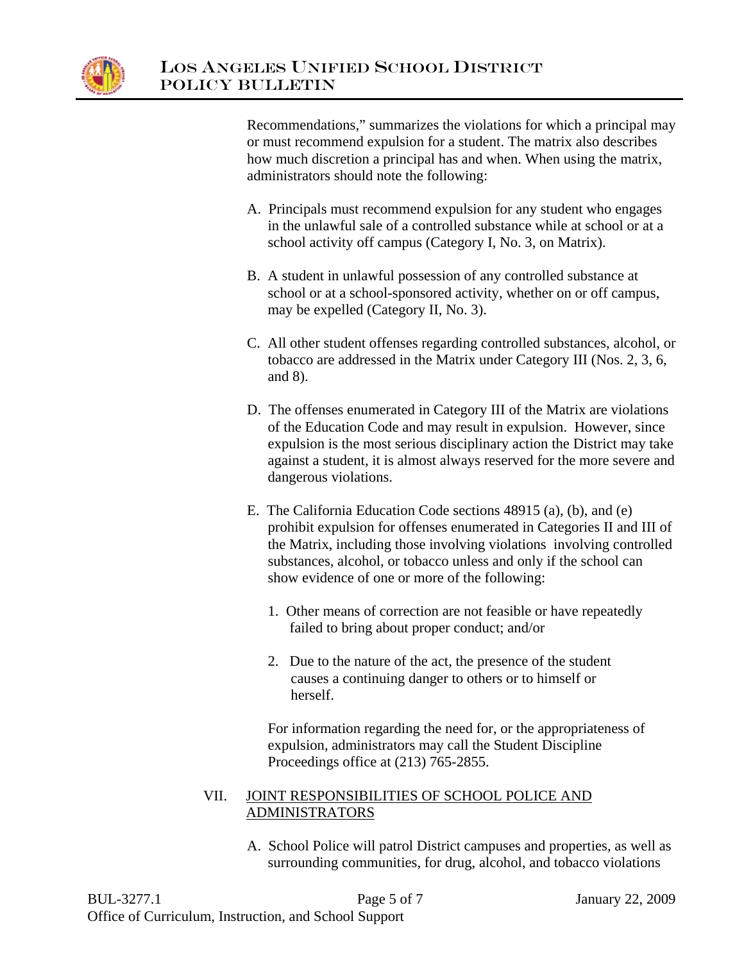

Recommendations," summarizes the violations for which a principal may or must recommend expulsion for a student. The matrix also describes how much discretion a principal has and when. When using the matrix, administrators should note the following:

- A. Principals must recommend expulsion for any student who engages in the unlawful sale of a controlled substance while at school or at a school activity off campus (Category I, No. 3, on Matrix).
- B. A student in unlawful possession of any controlled substance at school or at a school-sponsored activity, whether on or off campus, may be expelled (Category II, No. 3).
- C. All other student offenses regarding controlled substances, alcohol, or tobacco are addressed in the Matrix under Category III (Nos. 2, 3, 6, and 8).
- D. The offenses enumerated in Category III of the Matrix are violations of the Education Code and may result in expulsion. However, since expulsion is the most serious disciplinary action the District may take against a student, it is almost always reserved for the more severe and dangerous violations.
- E. The California Education Code sections 48915 (a), (b), and (e) prohibit expulsion for offenses enumerated in Categories II and III of the Matrix, including those involving violations involving controlled substances, alcohol, or tobacco unless and only if the school can show evidence of one or more of the following:
	- 1. Other means of correction are not feasible or have repeatedly failed to bring about proper conduct; and/or
	- 2. Due to the nature of the act, the presence of the student causes a continuing danger to others or to himself or herself.

For information regarding the need for, or the appropriateness of expulsion, administrators may call the Student Discipline Proceedings office at (213) 765-2855.

### VII. JOINT RESPONSIBILITIES OF SCHOOL POLICE AND ADMINISTRATORS

A. School Police will patrol District campuses and properties, as well as surrounding communities, for drug, alcohol, and tobacco violations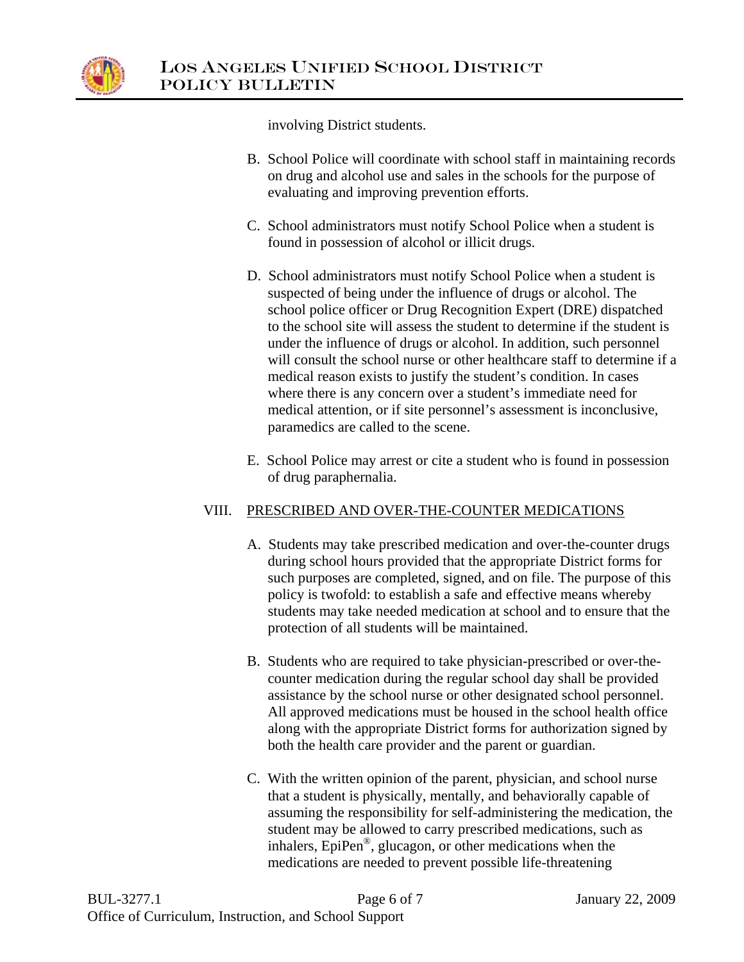

involving District students.

- B. School Police will coordinate with school staff in maintaining records on drug and alcohol use and sales in the schools for the purpose of evaluating and improving prevention efforts.
- C. School administrators must notify School Police when a student is found in possession of alcohol or illicit drugs.
- D. School administrators must notify School Police when a student is suspected of being under the influence of drugs or alcohol. The school police officer or Drug Recognition Expert (DRE) dispatched to the school site will assess the student to determine if the student is under the influence of drugs or alcohol. In addition, such personnel will consult the school nurse or other healthcare staff to determine if a medical reason exists to justify the student's condition. In cases where there is any concern over a student's immediate need for medical attention, or if site personnel's assessment is inconclusive, paramedics are called to the scene.
- E. School Police may arrest or cite a student who is found in possession of drug paraphernalia.

### VIII. PRESCRIBED AND OVER-THE-COUNTER MEDICATIONS

- A. Students may take prescribed medication and over-the-counter drugs during school hours provided that the appropriate District forms for such purposes are completed, signed, and on file. The purpose of this policy is twofold: to establish a safe and effective means whereby students may take needed medication at school and to ensure that the protection of all students will be maintained.
- B. Students who are required to take physician-prescribed or over-thecounter medication during the regular school day shall be provided assistance by the school nurse or other designated school personnel. All approved medications must be housed in the school health office along with the appropriate District forms for authorization signed by both the health care provider and the parent or guardian.
- C. With the written opinion of the parent, physician, and school nurse that a student is physically, mentally, and behaviorally capable of assuming the responsibility for self-administering the medication, the student may be allowed to carry prescribed medications, such as inhalers, EpiPen®, glucagon, or other medications when the medications are needed to prevent possible life-threatening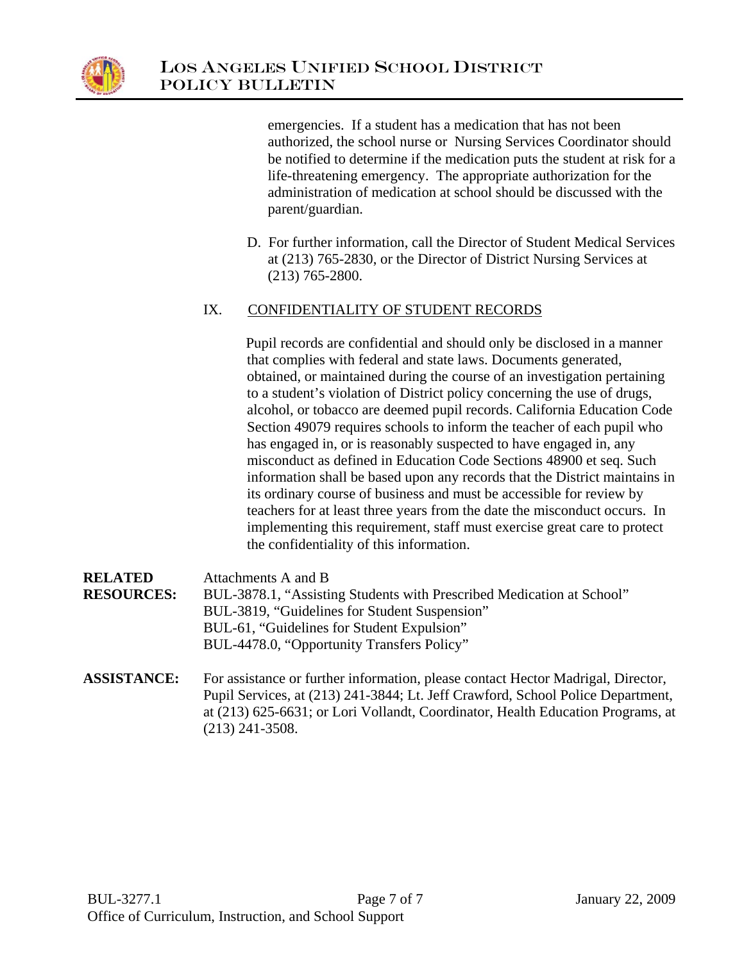

emergencies. If a student has a medication that has not been authorized, the school nurse or Nursing Services Coordinator should be notified to determine if the medication puts the student at risk for a life-threatening emergency. The appropriate authorization for the administration of medication at school should be discussed with the parent/guardian.

D. For further information, call the Director of Student Medical Services at (213) 765-2830, or the Director of District Nursing Services at (213) 765-2800.

### IX. CONFIDENTIALITY OF STUDENT RECORDS

Pupil records are confidential and should only be disclosed in a manner that complies with federal and state laws. Documents generated, obtained, or maintained during the course of an investigation pertaining to a student's violation of District policy concerning the use of drugs, alcohol, or tobacco are deemed pupil records. California Education Code Section 49079 requires schools to inform the teacher of each pupil who has engaged in, or is reasonably suspected to have engaged in, any misconduct as defined in Education Code Sections 48900 et seq. Such information shall be based upon any records that the District maintains in its ordinary course of business and must be accessible for review by teachers for at least three years from the date the misconduct occurs. In implementing this requirement, staff must exercise great care to protect the confidentiality of this information.

| <b>RELATED</b>    | Attachments A and B                                                                                                    |  |
|-------------------|------------------------------------------------------------------------------------------------------------------------|--|
| <b>RESOURCES:</b> | BUL-3878.1, "Assisting Students with Prescribed Medication at School"<br>BUL-3819, "Guidelines for Student Suspension" |  |
|                   |                                                                                                                        |  |
|                   | BUL-61, "Guidelines for Student Expulsion"                                                                             |  |
|                   | BUL-4478.0, "Opportunity Transfers Policy"                                                                             |  |

**ASSISTANCE:** For assistance or further information, please contact Hector Madrigal, Director, Pupil Services, at (213) 241-3844; Lt. Jeff Crawford, School Police Department, at (213) 625-6631; or Lori Vollandt, Coordinator, Health Education Programs, at (213) 241-3508.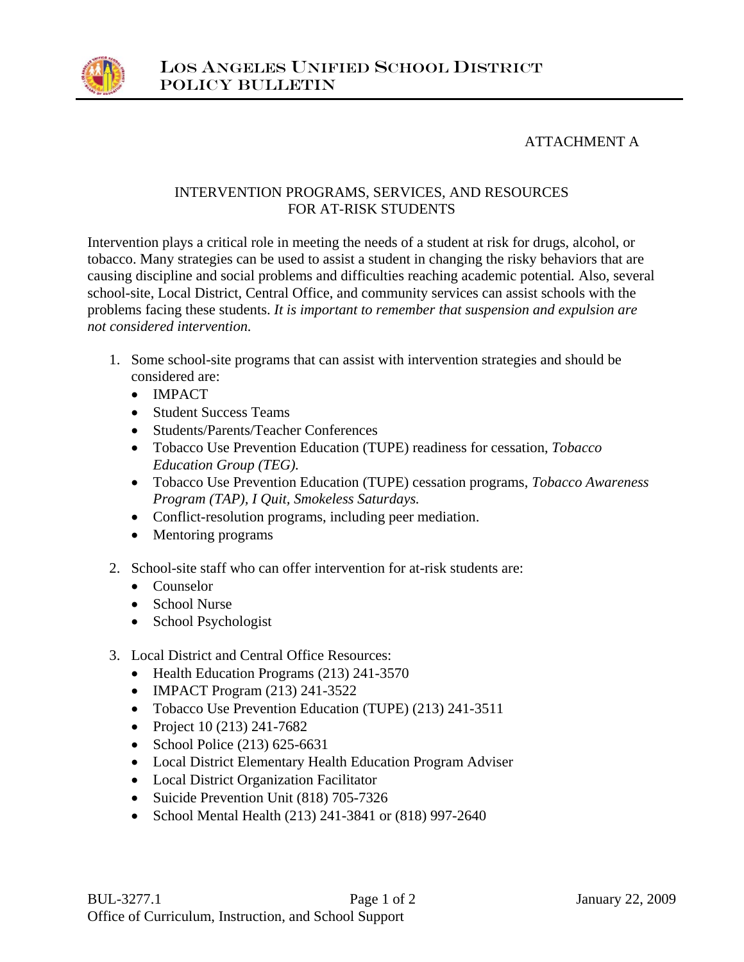

## ATTACHMENT A

### INTERVENTION PROGRAMS, SERVICES, AND RESOURCES FOR AT-RISK STUDENTS

Intervention plays a critical role in meeting the needs of a student at risk for drugs, alcohol, or tobacco. Many strategies can be used to assist a student in changing the risky behaviors that are causing discipline and social problems and difficulties reaching academic potential*.* Also, several school-site, Local District, Central Office, and community services can assist schools with the problems facing these students. *It is important to remember that suspension and expulsion are not considered intervention.* 

- 1. Some school-site programs that can assist with intervention strategies and should be considered are:
	- IMPACT
	- Student Success Teams
	- Students/Parents/Teacher Conferences
	- Tobacco Use Prevention Education (TUPE) readiness for cessation, *Tobacco Education Group (TEG).*
	- Tobacco Use Prevention Education (TUPE) cessation programs, *Tobacco Awareness Program (TAP), I Quit, Smokeless Saturdays.*
	- Conflict-resolution programs, including peer mediation.
	- Mentoring programs
- 2. School-site staff who can offer intervention for at-risk students are:
	- Counselor
	- School Nurse
	- School Psychologist
- 3. Local District and Central Office Resources:
	- Health Education Programs (213) 241-3570
	- IMPACT Program (213) 241-3522
	- Tobacco Use Prevention Education (TUPE) (213) 241-3511
	- Project 10 (213) 241-7682
	- School Police (213) 625-6631
	- Local District Elementary Health Education Program Adviser
	- Local District Organization Facilitator
	- Suicide Prevention Unit (818) 705-7326
	- School Mental Health (213) 241-3841 or (818) 997-2640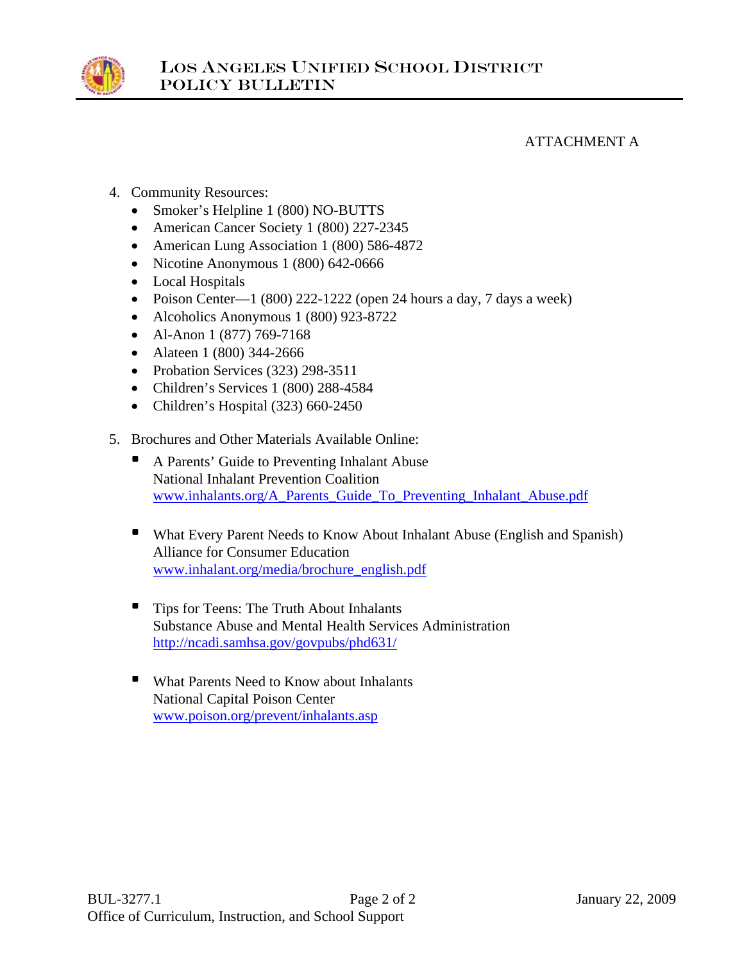

ATTACHMENT A

- 4. Community Resources:
	- Smoker's Helpline 1 (800) NO-BUTTS
	- American Cancer Society 1 (800) 227-2345
	- American Lung Association 1 (800) 586-4872
	- Nicotine Anonymous 1 (800) 642-0666
	- Local Hospitals
	- Poison Center—1 (800) 222-1222 (open 24 hours a day, 7 days a week)
	- Alcoholics Anonymous 1 (800) 923-8722
	- Al-Anon 1 (877) 769-7168
	- Alateen 1 (800) 344-2666
	- Probation Services (323) 298-3511
	- Children's Services 1 (800) 288-4584
	- Children's Hospital (323) 660-2450
- 5. Brochures and Other Materials Available Online:
	- A Parents' Guide to Preventing Inhalant Abuse National Inhalant Prevention Coalition www.inhalants.org/A\_Parents\_Guide\_To\_Preventing\_Inhalant\_Abuse.pdf
	- What Every Parent Needs to Know About Inhalant Abuse (English and Spanish) Alliance for Consumer Education www.inhalant.org/media/brochure\_english.pdf
	- **•** Tips for Teens: The Truth About Inhalants Substance Abuse and Mental Health Services Administration http://ncadi.samhsa.gov/govpubs/phd631/
	- What Parents Need to Know about Inhalants National Capital Poison Center www.poison.org/prevent/inhalants.asp